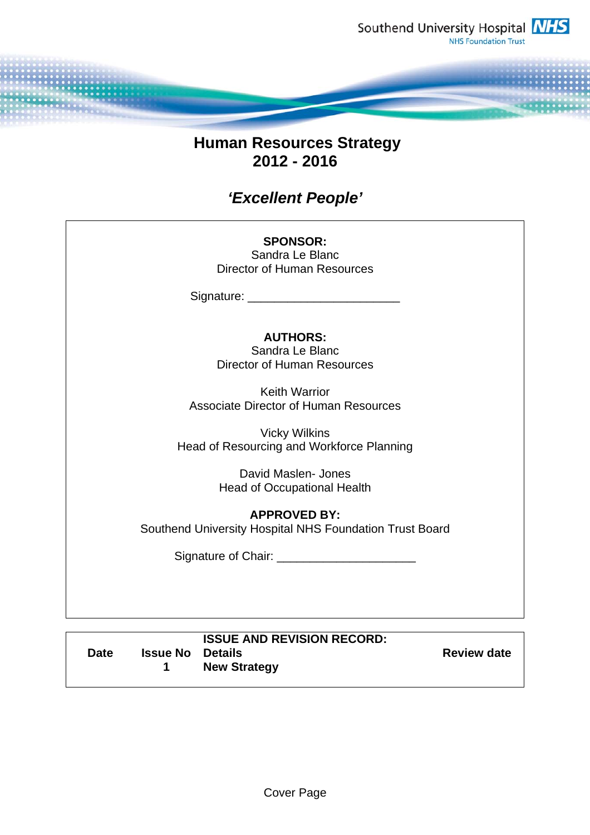

# **Human Resources Strategy 2012 - 2016**

# *'Excellent People'*

#### **SPONSOR:**  Sandra Le Blanc Director of Human Resources

Signature: \_\_\_\_\_\_\_\_\_\_\_\_\_\_\_\_\_\_\_\_\_\_\_

# **AUTHORS:**

Sandra Le Blanc Director of Human Resources

Keith Warrior Associate Director of Human Resources

Vicky Wilkins Head of Resourcing and Workforce Planning

> David Maslen- Jones Head of Occupational Health

**APPROVED BY:**  Southend University Hospital NHS Foundation Trust Board

Signature of Chair: \_\_\_\_\_\_\_\_\_\_\_\_\_\_\_\_\_\_\_\_\_

| <b>Date</b> | <b>ISSUE AND REVISION RECORD:</b><br><b>Issue No Details</b><br><b>New Strategy</b> | <b>Review date</b> |
|-------------|-------------------------------------------------------------------------------------|--------------------|
|-------------|-------------------------------------------------------------------------------------|--------------------|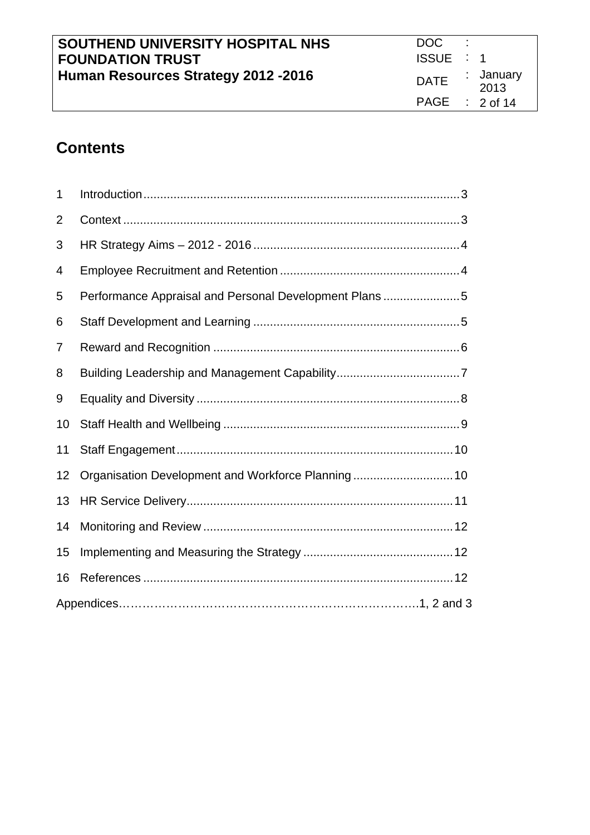| SOUTHEND UNIVERSITY HOSPITAL NHS     | DOC.             |                   |
|--------------------------------------|------------------|-------------------|
| <b>FOUNDATION TRUST</b>              | ISSUE : 1        |                   |
| Human Resources Strategy 2012 - 2016 | <b>DATE</b>      | : January<br>2013 |
|                                      | PAGE : $2$ of 14 |                   |

# **Contents**

| 1  |                                                        |
|----|--------------------------------------------------------|
| 2  |                                                        |
| 3  |                                                        |
| 4  |                                                        |
| 5  | Performance Appraisal and Personal Development Plans 5 |
| 6  |                                                        |
| 7  |                                                        |
| 8  |                                                        |
| 9  |                                                        |
| 10 |                                                        |
| 11 |                                                        |
| 12 | Organisation Development and Workforce Planning 10     |
| 13 |                                                        |
| 14 |                                                        |
| 15 |                                                        |
| 16 |                                                        |
|    |                                                        |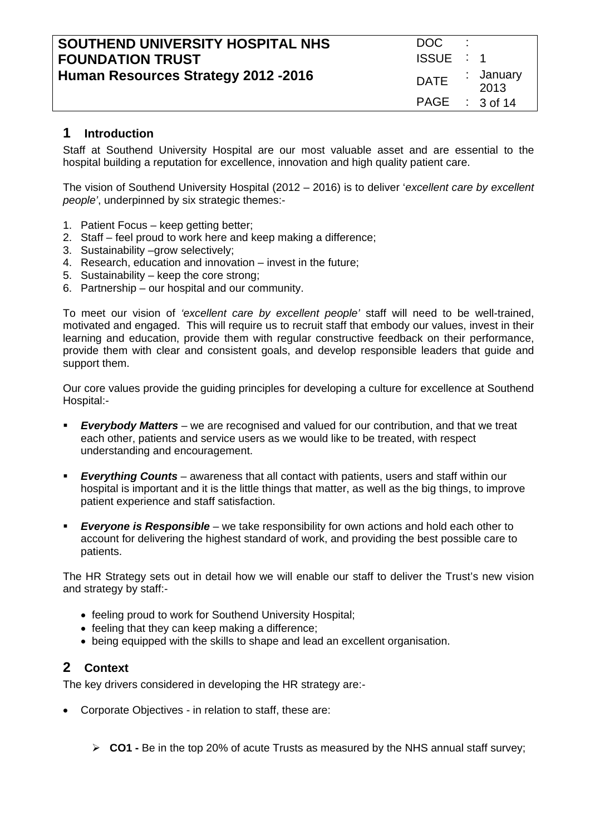| SOUTHEND UNIVERSITY HOSPITAL NHS<br><b>FOUNDATION TRUST</b> | DOC.<br>ISSUE : 1 |                   |
|-------------------------------------------------------------|-------------------|-------------------|
| Human Resources Strategy 2012 - 2016                        | <b>DATE</b>       | : January<br>2013 |
|                                                             | PAGE : $3$ of 14  |                   |

#### **1 Introduction**

Staff at Southend University Hospital are our most valuable asset and are essential to the hospital building a reputation for excellence, innovation and high quality patient care.

The vision of Southend University Hospital (2012 – 2016) is to deliver '*excellent care by excellent people'*, underpinned by six strategic themes:-

- 1. Patient Focus keep getting better;
- 2. Staff feel proud to work here and keep making a difference;
- 3. Sustainability –grow selectively;
- 4. Research, education and innovation invest in the future;
- 5. Sustainability keep the core strong;
- 6. Partnership our hospital and our community.

To meet our vision of *'excellent care by excellent people'* staff will need to be well-trained, motivated and engaged. This will require us to recruit staff that embody our values, invest in their learning and education, provide them with regular constructive feedback on their performance, provide them with clear and consistent goals, and develop responsible leaders that guide and support them.

Our core values provide the guiding principles for developing a culture for excellence at Southend Hospital:-

- *Everybody Matters* we are recognised and valued for our contribution, and that we treat each other, patients and service users as we would like to be treated, with respect understanding and encouragement.
- *Everything Counts* awareness that all contact with patients, users and staff within our hospital is important and it is the little things that matter, as well as the big things, to improve patient experience and staff satisfaction.
- *Everyone is Responsible* we take responsibility for own actions and hold each other to account for delivering the highest standard of work, and providing the best possible care to patients.

The HR Strategy sets out in detail how we will enable our staff to deliver the Trust's new vision and strategy by staff:-

- feeling proud to work for Southend University Hospital;
- feeling that they can keep making a difference;
- being equipped with the skills to shape and lead an excellent organisation.

# **2 Context**

The key drivers considered in developing the HR strategy are:-

- Corporate Objectives in relation to staff, these are:
	- **CO1** Be in the top 20% of acute Trusts as measured by the NHS annual staff survey;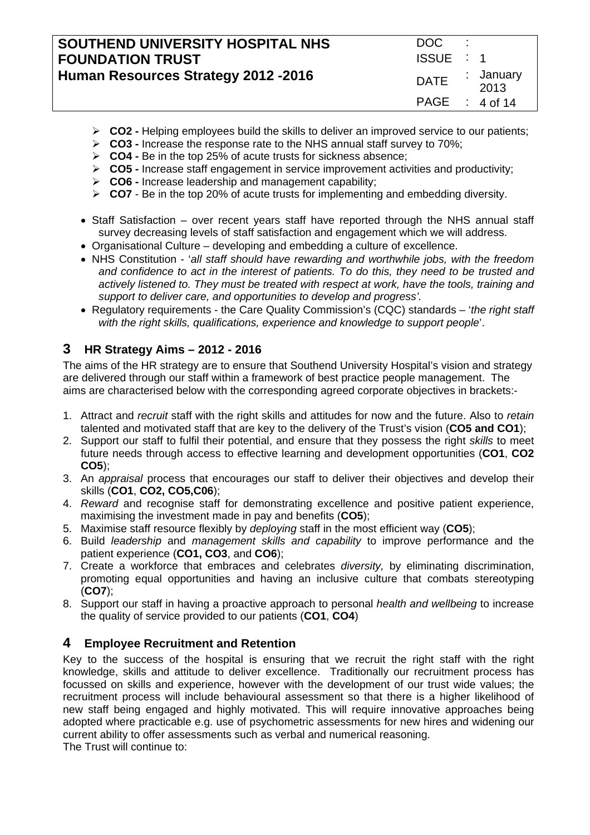| SOUTHEND UNIVERSITY HOSPITAL NHS     | DOC .            |                   |
|--------------------------------------|------------------|-------------------|
| <b>FOUNDATION TRUST</b>              | ISSUE : 1        |                   |
| Human Resources Strategy 2012 - 2016 | <b>DATE</b>      | : January<br>2013 |
|                                      | PAGE : $4$ of 14 |                   |

- **CO2** Helping employees build the skills to deliver an improved service to our patients;
- **CO3** Increase the response rate to the NHS annual staff survey to 70%;
- **CO4** Be in the top 25% of acute trusts for sickness absence;
- **CO5** Increase staff engagement in service improvement activities and productivity;
- **CO6** Increase leadership and management capability;
- **CO7** Be in the top 20% of acute trusts for implementing and embedding diversity.
- Staff Satisfaction over recent years staff have reported through the NHS annual staff survey decreasing levels of staff satisfaction and engagement which we will address.
- Organisational Culture developing and embedding a culture of excellence.
- NHS Constitution '*all staff should have rewarding and worthwhile jobs, with the freedom and confidence to act in the interest of patients. To do this, they need to be trusted and actively listened to. They must be treated with respect at work, have the tools, training and support to deliver care, and opportunities to develop and progress'.*
- Regulatory requirements the Care Quality Commission's (CQC) standards '*the right staff with the right skills, qualifications, experience and knowledge to support people*'.

# **3 HR Strategy Aims – 2012 - 2016**

The aims of the HR strategy are to ensure that Southend University Hospital's vision and strategy are delivered through our staff within a framework of best practice people management. The aims are characterised below with the corresponding agreed corporate objectives in brackets:-

- 1. Attract and *recruit* staff with the right skills and attitudes for now and the future. Also to *retain*  talented and motivated staff that are key to the delivery of the Trust's vision (**CO5 and CO1**);
- 2. Support our staff to fulfil their potential, and ensure that they possess the right *skills* to meet future needs through access to effective learning and development opportunities (**CO1**, **CO2 CO5**);
- 3. An *appraisal* process that encourages our staff to deliver their objectives and develop their skills (**CO1**, **CO2, CO5,C06**);
- 4. *Reward* and recognise staff for demonstrating excellence and positive patient experience, maximising the investment made in pay and benefits (**CO5**);
- 5. Maximise staff resource flexibly by *deploying* staff in the most efficient way (**CO5**);
- 6. Build *leadership* and *management skills and capability* to improve performance and the patient experience (**CO1, CO3**, and **CO6**);
- 7. Create a workforce that embraces and celebrates *diversity,* by eliminating discrimination, promoting equal opportunities and having an inclusive culture that combats stereotyping (**CO7**);
- 8. Support our staff in having a proactive approach to personal *health and wellbeing* to increase the quality of service provided to our patients (**CO1**, **CO4**)

# **4 Employee Recruitment and Retention**

Key to the success of the hospital is ensuring that we recruit the right staff with the right knowledge, skills and attitude to deliver excellence. Traditionally our recruitment process has focussed on skills and experience, however with the development of our trust wide values; the recruitment process will include behavioural assessment so that there is a higher likelihood of new staff being engaged and highly motivated. This will require innovative approaches being adopted where practicable e.g. use of psychometric assessments for new hires and widening our current ability to offer assessments such as verbal and numerical reasoning.

The Trust will continue to: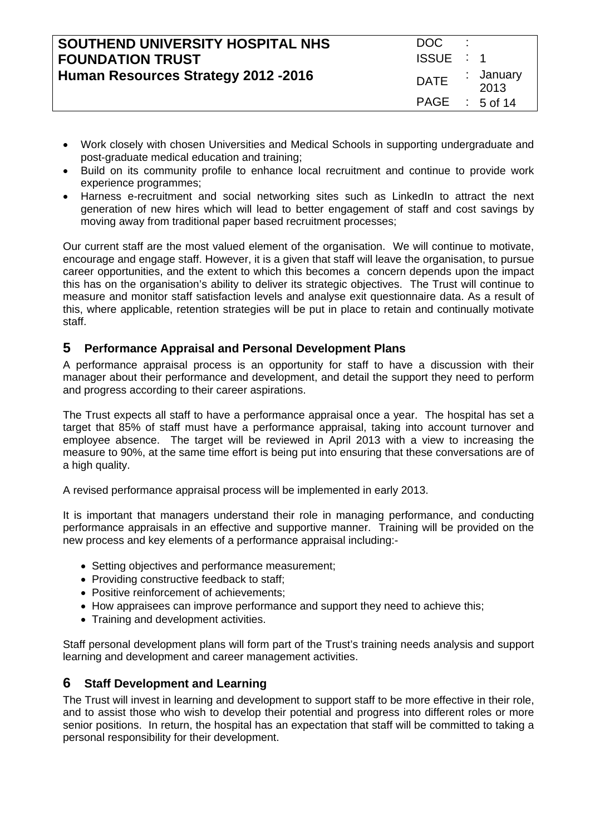| SOUTHEND UNIVERSITY HOSPITAL NHS     | DOC              |                   |
|--------------------------------------|------------------|-------------------|
| <b>FOUNDATION TRUST</b>              | ISSUE : 1        |                   |
| Human Resources Strategy 2012 - 2016 | <b>DATE</b>      | : January<br>2013 |
|                                      | $PAGE$ : 5 of 14 |                   |

- Work closely with chosen Universities and Medical Schools in supporting undergraduate and post-graduate medical education and training;
- Build on its community profile to enhance local recruitment and continue to provide work experience programmes;
- Harness e-recruitment and social networking sites such as LinkedIn to attract the next generation of new hires which will lead to better engagement of staff and cost savings by moving away from traditional paper based recruitment processes;

Our current staff are the most valued element of the organisation. We will continue to motivate, encourage and engage staff. However, it is a given that staff will leave the organisation, to pursue career opportunities, and the extent to which this becomes a concern depends upon the impact this has on the organisation's ability to deliver its strategic objectives. The Trust will continue to measure and monitor staff satisfaction levels and analyse exit questionnaire data. As a result of this, where applicable, retention strategies will be put in place to retain and continually motivate staff.

#### **5 Performance Appraisal and Personal Development Plans**

A performance appraisal process is an opportunity for staff to have a discussion with their manager about their performance and development, and detail the support they need to perform and progress according to their career aspirations.

The Trust expects all staff to have a performance appraisal once a year. The hospital has set a target that 85% of staff must have a performance appraisal, taking into account turnover and employee absence. The target will be reviewed in April 2013 with a view to increasing the measure to 90%, at the same time effort is being put into ensuring that these conversations are of a high quality.

A revised performance appraisal process will be implemented in early 2013.

It is important that managers understand their role in managing performance, and conducting performance appraisals in an effective and supportive manner. Training will be provided on the new process and key elements of a performance appraisal including:-

- Setting objectives and performance measurement;
- Providing constructive feedback to staff:
- Positive reinforcement of achievements:
- How appraisees can improve performance and support they need to achieve this;
- Training and development activities.

Staff personal development plans will form part of the Trust's training needs analysis and support learning and development and career management activities.

# **6 Staff Development and Learning**

The Trust will invest in learning and development to support staff to be more effective in their role, and to assist those who wish to develop their potential and progress into different roles or more senior positions. In return, the hospital has an expectation that staff will be committed to taking a personal responsibility for their development.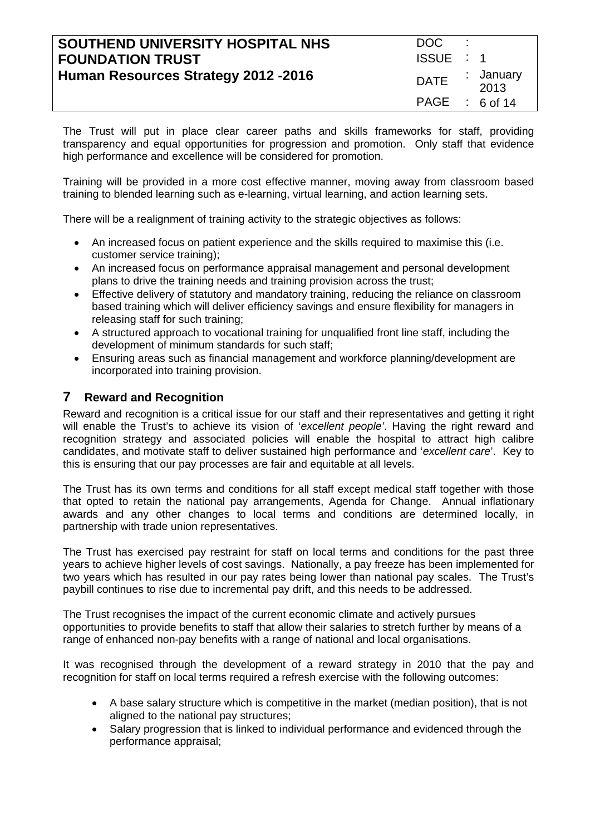| SOUTHEND UNIVERSITY HOSPITAL NHS<br><b>FOUNDATION TRUST</b> | DOC.<br>ISSUE : 1 |                   |
|-------------------------------------------------------------|-------------------|-------------------|
| Human Resources Strategy 2012 - 2016                        | <b>DATE</b>       | : January<br>2013 |
|                                                             | PAGE : 6 of 14    |                   |

The Trust will put in place clear career paths and skills frameworks for staff, providing transparency and equal opportunities for progression and promotion. Only staff that evidence high performance and excellence will be considered for promotion.

Training will be provided in a more cost effective manner, moving away from classroom based training to blended learning such as e-learning, virtual learning, and action learning sets.

There will be a realignment of training activity to the strategic objectives as follows:

- An increased focus on patient experience and the skills required to maximise this (i.e. customer service training);
- An increased focus on performance appraisal management and personal development plans to drive the training needs and training provision across the trust;
- Effective delivery of statutory and mandatory training, reducing the reliance on classroom based training which will deliver efficiency savings and ensure flexibility for managers in releasing staff for such training;
- A structured approach to vocational training for unqualified front line staff, including the development of minimum standards for such staff;
- Ensuring areas such as financial management and workforce planning/development are incorporated into training provision.

#### **7 Reward and Recognition**

Reward and recognition is a critical issue for our staff and their representatives and getting it right will enable the Trust's to achieve its vision of '*excellent people'*. Having the right reward and recognition strategy and associated policies will enable the hospital to attract high calibre candidates, and motivate staff to deliver sustained high performance and '*excellent care*'. Key to this is ensuring that our pay processes are fair and equitable at all levels.

The Trust has its own terms and conditions for all staff except medical staff together with those that opted to retain the national pay arrangements, Agenda for Change. Annual inflationary awards and any other changes to local terms and conditions are determined locally, in partnership with trade union representatives.

The Trust has exercised pay restraint for staff on local terms and conditions for the past three years to achieve higher levels of cost savings. Nationally, a pay freeze has been implemented for two years which has resulted in our pay rates being lower than national pay scales. The Trust's paybill continues to rise due to incremental pay drift, and this needs to be addressed.

The Trust recognises the impact of the current economic climate and actively pursues opportunities to provide benefits to staff that allow their salaries to stretch further by means of a range of enhanced non-pay benefits with a range of national and local organisations.

It was recognised through the development of a reward strategy in 2010 that the pay and recognition for staff on local terms required a refresh exercise with the following outcomes:

- A base salary structure which is competitive in the market (median position), that is not aligned to the national pay structures;
- Salary progression that is linked to individual performance and evidenced through the performance appraisal;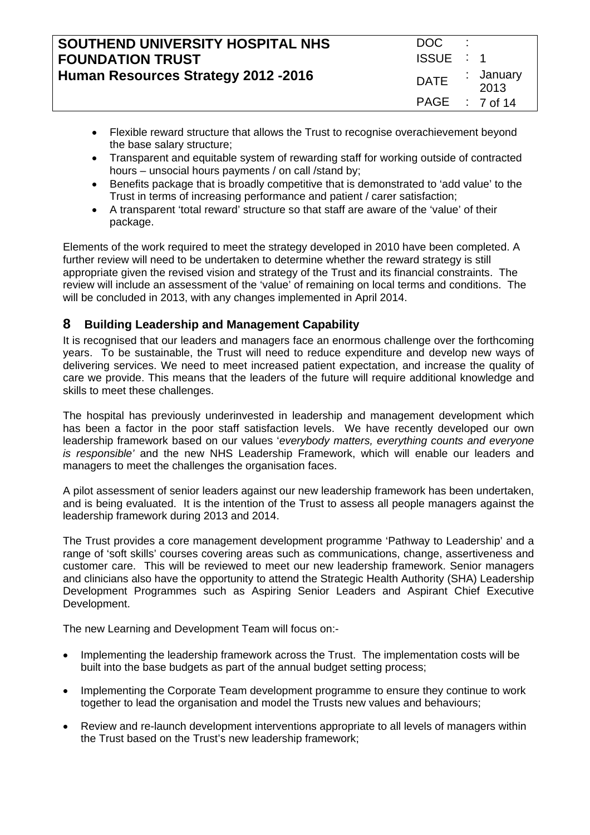| SOUTHEND UNIVERSITY HOSPITAL NHS<br><b>FOUNDATION TRUST</b> | DOC.<br>ISSUE : 1 |                   |
|-------------------------------------------------------------|-------------------|-------------------|
| Human Resources Strategy 2012 - 2016                        | DATE ·            | : January<br>2013 |
|                                                             | PAGE : 7 of 14    |                   |

- Flexible reward structure that allows the Trust to recognise overachievement beyond the base salary structure;
- Transparent and equitable system of rewarding staff for working outside of contracted hours – unsocial hours payments / on call /stand by;
- Benefits package that is broadly competitive that is demonstrated to 'add value' to the Trust in terms of increasing performance and patient / carer satisfaction;
- A transparent 'total reward' structure so that staff are aware of the 'value' of their package.

Elements of the work required to meet the strategy developed in 2010 have been completed. A further review will need to be undertaken to determine whether the reward strategy is still appropriate given the revised vision and strategy of the Trust and its financial constraints. The review will include an assessment of the 'value' of remaining on local terms and conditions. The will be concluded in 2013, with any changes implemented in April 2014.

# **8 Building Leadership and Management Capability**

It is recognised that our leaders and managers face an enormous challenge over the forthcoming years. To be sustainable, the Trust will need to reduce expenditure and develop new ways of delivering services. We need to meet increased patient expectation, and increase the quality of care we provide. This means that the leaders of the future will require additional knowledge and skills to meet these challenges.

The hospital has previously underinvested in leadership and management development which has been a factor in the poor staff satisfaction levels. We have recently developed our own leadership framework based on our values '*everybody matters, everything counts and everyone is responsible'* and the new NHS Leadership Framework, which will enable our leaders and managers to meet the challenges the organisation faces.

A pilot assessment of senior leaders against our new leadership framework has been undertaken, and is being evaluated. It is the intention of the Trust to assess all people managers against the leadership framework during 2013 and 2014.

The Trust provides a core management development programme 'Pathway to Leadership' and a range of 'soft skills' courses covering areas such as communications, change, assertiveness and customer care. This will be reviewed to meet our new leadership framework. Senior managers and clinicians also have the opportunity to attend the Strategic Health Authority (SHA) Leadership Development Programmes such as Aspiring Senior Leaders and Aspirant Chief Executive Development.

The new Learning and Development Team will focus on:-

- Implementing the leadership framework across the Trust. The implementation costs will be built into the base budgets as part of the annual budget setting process;
- Implementing the Corporate Team development programme to ensure they continue to work together to lead the organisation and model the Trusts new values and behaviours;
- Review and re-launch development interventions appropriate to all levels of managers within the Trust based on the Trust's new leadership framework;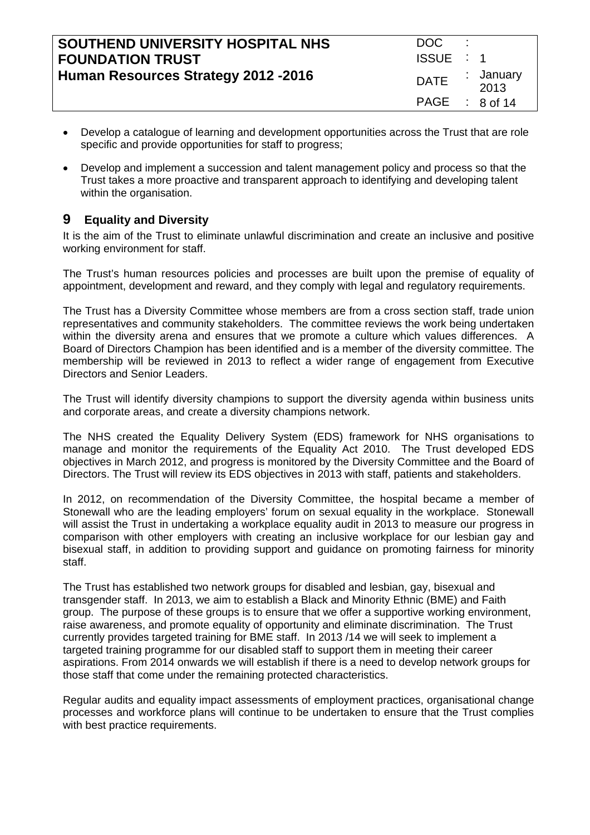| SOUTHEND UNIVERSITY HOSPITAL NHS     | DOC.           |                   |
|--------------------------------------|----------------|-------------------|
| <b>FOUNDATION TRUST</b>              | ISSUE : 1      |                   |
| Human Resources Strategy 2012 - 2016 | <b>DATE</b>    | : January<br>2013 |
|                                      | PAGE : 8 of 14 |                   |

- Develop a catalogue of learning and development opportunities across the Trust that are role specific and provide opportunities for staff to progress;
- Develop and implement a succession and talent management policy and process so that the Trust takes a more proactive and transparent approach to identifying and developing talent within the organisation.

# **9 Equality and Diversity**

It is the aim of the Trust to eliminate unlawful discrimination and create an inclusive and positive working environment for staff.

The Trust's human resources policies and processes are built upon the premise of equality of appointment, development and reward, and they comply with legal and regulatory requirements.

The Trust has a Diversity Committee whose members are from a cross section staff, trade union representatives and community stakeholders. The committee reviews the work being undertaken within the diversity arena and ensures that we promote a culture which values differences. A Board of Directors Champion has been identified and is a member of the diversity committee. The membership will be reviewed in 2013 to reflect a wider range of engagement from Executive Directors and Senior Leaders.

The Trust will identify diversity champions to support the diversity agenda within business units and corporate areas, and create a diversity champions network.

The NHS created the Equality Delivery System (EDS) framework for NHS organisations to manage and monitor the requirements of the Equality Act 2010. The Trust developed EDS objectives in March 2012, and progress is monitored by the Diversity Committee and the Board of Directors. The Trust will review its EDS objectives in 2013 with staff, patients and stakeholders.

In 2012, on recommendation of the Diversity Committee, the hospital became a member of Stonewall who are the leading employers' forum on sexual equality in the workplace. Stonewall will assist the Trust in undertaking a workplace equality audit in 2013 to measure our progress in comparison with other employers with creating an inclusive workplace for our lesbian gay and bisexual staff, in addition to providing support and guidance on promoting fairness for minority staff.

The Trust has established two network groups for disabled and lesbian, gay, bisexual and transgender staff. In 2013, we aim to establish a Black and Minority Ethnic (BME) and Faith group. The purpose of these groups is to ensure that we offer a supportive working environment, raise awareness, and promote equality of opportunity and eliminate discrimination. The Trust currently provides targeted training for BME staff. In 2013 /14 we will seek to implement a targeted training programme for our disabled staff to support them in meeting their career aspirations. From 2014 onwards we will establish if there is a need to develop network groups for those staff that come under the remaining protected characteristics.

Regular audits and equality impact assessments of employment practices, organisational change processes and workforce plans will continue to be undertaken to ensure that the Trust complies with best practice requirements.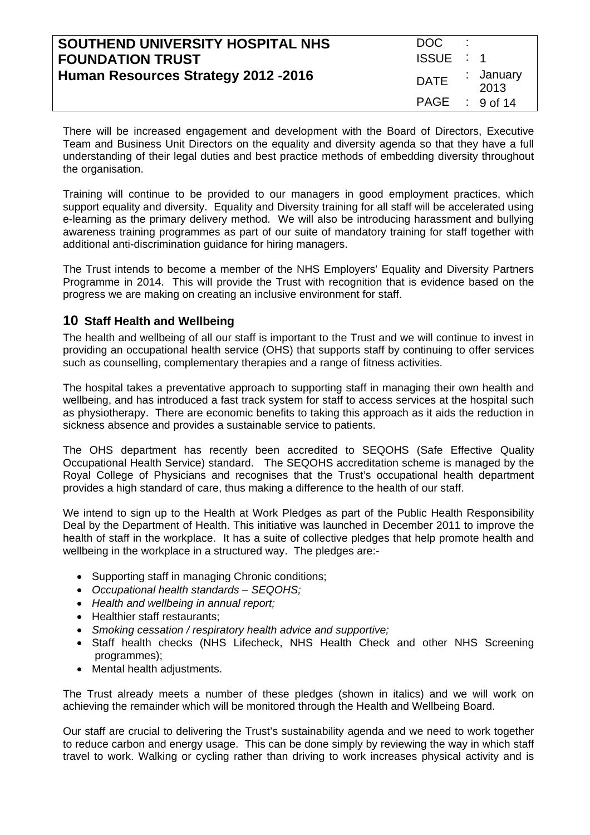| SOUTHEND UNIVERSITY HOSPITAL NHS     | DOC.             |                   |
|--------------------------------------|------------------|-------------------|
| <b>FOUNDATION TRUST</b>              | ISSUE : 1        |                   |
| Human Resources Strategy 2012 - 2016 | <b>DATE</b>      | : January<br>2013 |
|                                      | PAGE : $9$ of 14 |                   |

There will be increased engagement and development with the Board of Directors, Executive Team and Business Unit Directors on the equality and diversity agenda so that they have a full understanding of their legal duties and best practice methods of embedding diversity throughout the organisation.

Training will continue to be provided to our managers in good employment practices, which support equality and diversity. Equality and Diversity training for all staff will be accelerated using e-learning as the primary delivery method. We will also be introducing harassment and bullying awareness training programmes as part of our suite of mandatory training for staff together with additional anti-discrimination guidance for hiring managers.

The Trust intends to become a member of the NHS Employers' Equality and Diversity Partners Programme in 2014. This will provide the Trust with recognition that is evidence based on the progress we are making on creating an inclusive environment for staff.

# **10 Staff Health and Wellbeing**

The health and wellbeing of all our staff is important to the Trust and we will continue to invest in providing an occupational health service (OHS) that supports staff by continuing to offer services such as counselling, complementary therapies and a range of fitness activities.

The hospital takes a preventative approach to supporting staff in managing their own health and wellbeing, and has introduced a fast track system for staff to access services at the hospital such as physiotherapy. There are economic benefits to taking this approach as it aids the reduction in sickness absence and provides a sustainable service to patients.

The OHS department has recently been accredited to SEQOHS (Safe Effective Quality Occupational Health Service) standard. The SEQOHS accreditation scheme is managed by the Royal College of Physicians and recognises that the Trust's occupational health department provides a high standard of care, thus making a difference to the health of our staff.

We intend to sign up to the Health at Work Pledges as part of the Public Health Responsibility Deal by the Department of Health. This initiative was launched in December 2011 to improve the health of staff in the workplace. It has a suite of collective pledges that help promote health and wellbeing in the workplace in a structured way. The pledges are:-

- Supporting staff in managing Chronic conditions;
- *Occupational health standards SEQOHS;*
- *Health and wellbeing in annual report;*
- Healthier staff restaurants;
- *Smoking cessation / respiratory health advice and supportive;*
- Staff health checks (NHS Lifecheck, NHS Health Check and other NHS Screening programmes);
- Mental health adjustments.

The Trust already meets a number of these pledges (shown in italics) and we will work on achieving the remainder which will be monitored through the Health and Wellbeing Board.

Our staff are crucial to delivering the Trust's sustainability agenda and we need to work together to reduce carbon and energy usage. This can be done simply by reviewing the way in which staff travel to work. Walking or cycling rather than driving to work increases physical activity and is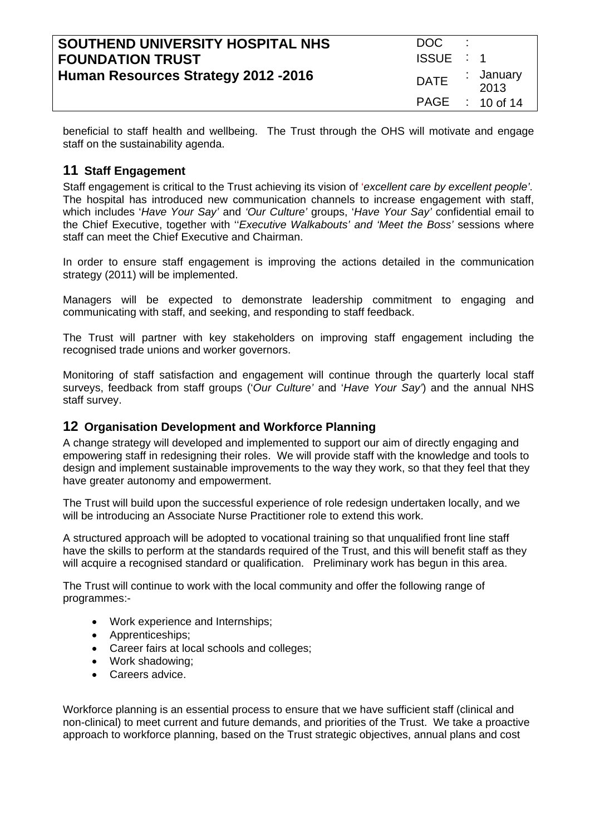| SOUTHEND UNIVERSITY HOSPITAL NHS     | DOC.        | ٠. |                   |
|--------------------------------------|-------------|----|-------------------|
| <b>FOUNDATION TRUST</b>              | ISSUE : 1   |    |                   |
| Human Resources Strategy 2012 - 2016 | <b>DATE</b> |    | : January<br>2013 |
|                                      |             |    | PAGE : 10 of 14   |

beneficial to staff health and wellbeing. The Trust through the OHS will motivate and engage staff on the sustainability agenda.

# **11 Staff Engagement**

Staff engagement is critical to the Trust achieving its vision of '*excellent care by excellent people'*. The hospital has introduced new communication channels to increase engagement with staff, which includes '*Have Your Say'* and *'Our Culture'* groups, '*Have Your Say'* confidential email to the Chief Executive, together with ''*Executive Walkabouts' and 'Meet the Boss'* sessions where staff can meet the Chief Executive and Chairman.

In order to ensure staff engagement is improving the actions detailed in the communication strategy (2011) will be implemented.

Managers will be expected to demonstrate leadership commitment to engaging and communicating with staff, and seeking, and responding to staff feedback.

The Trust will partner with key stakeholders on improving staff engagement including the recognised trade unions and worker governors.

Monitoring of staff satisfaction and engagement will continue through the quarterly local staff surveys, feedback from staff groups ('*Our Culture'* and '*Have Your Say'*) and the annual NHS staff survey.

#### **12 Organisation Development and Workforce Planning**

A change strategy will developed and implemented to support our aim of directly engaging and empowering staff in redesigning their roles. We will provide staff with the knowledge and tools to design and implement sustainable improvements to the way they work, so that they feel that they have greater autonomy and empowerment.

The Trust will build upon the successful experience of role redesign undertaken locally, and we will be introducing an Associate Nurse Practitioner role to extend this work.

A structured approach will be adopted to vocational training so that unqualified front line staff have the skills to perform at the standards required of the Trust, and this will benefit staff as they will acquire a recognised standard or qualification. Preliminary work has begun in this area.

The Trust will continue to work with the local community and offer the following range of programmes:-

- Work experience and Internships;
- Apprenticeships;
- Career fairs at local schools and colleges;
- Work shadowing;
- Careers advice.

Workforce planning is an essential process to ensure that we have sufficient staff (clinical and non-clinical) to meet current and future demands, and priorities of the Trust. We take a proactive approach to workforce planning, based on the Trust strategic objectives, annual plans and cost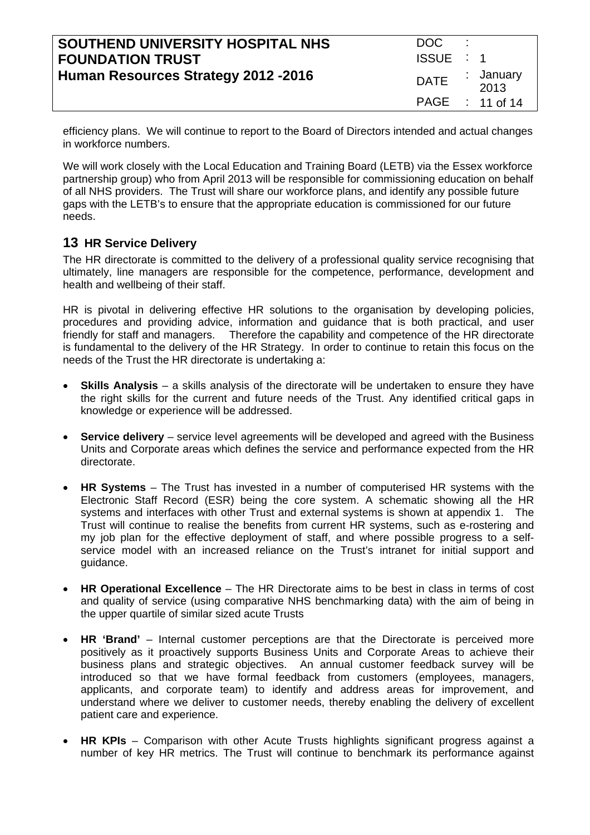| SOUTHEND UNIVERSITY HOSPITAL NHS     | DOC.        | ٠. |                   |
|--------------------------------------|-------------|----|-------------------|
| <b>FOUNDATION TRUST</b>              | ISSUE : 1   |    |                   |
| Human Resources Strategy 2012 - 2016 | <b>DATE</b> |    | : January<br>2013 |
|                                      |             |    | PAGE : 11 of 14   |

efficiency plans. We will continue to report to the Board of Directors intended and actual changes in workforce numbers.

We will work closely with the Local Education and Training Board (LETB) via the Essex workforce partnership group) who from April 2013 will be responsible for commissioning education on behalf of all NHS providers. The Trust will share our workforce plans, and identify any possible future gaps with the LETB's to ensure that the appropriate education is commissioned for our future needs.

#### **13 HR Service Delivery**

The HR directorate is committed to the delivery of a professional quality service recognising that ultimately, line managers are responsible for the competence, performance, development and health and wellbeing of their staff.

HR is pivotal in delivering effective HR solutions to the organisation by developing policies, procedures and providing advice, information and guidance that is both practical, and user friendly for staff and managers. Therefore the capability and competence of the HR directorate is fundamental to the delivery of the HR Strategy. In order to continue to retain this focus on the needs of the Trust the HR directorate is undertaking a:

- **Skills Analysis** a skills analysis of the directorate will be undertaken to ensure they have the right skills for the current and future needs of the Trust. Any identified critical gaps in knowledge or experience will be addressed.
- **Service delivery** service level agreements will be developed and agreed with the Business Units and Corporate areas which defines the service and performance expected from the HR directorate.
- **HR Systems**  The Trust has invested in a number of computerised HR systems with the Electronic Staff Record (ESR) being the core system. A schematic showing all the HR systems and interfaces with other Trust and external systems is shown at appendix 1. The Trust will continue to realise the benefits from current HR systems, such as e-rostering and my job plan for the effective deployment of staff, and where possible progress to a selfservice model with an increased reliance on the Trust's intranet for initial support and guidance.
- **HR Operational Excellence** The HR Directorate aims to be best in class in terms of cost and quality of service (using comparative NHS benchmarking data) with the aim of being in the upper quartile of similar sized acute Trusts
- **HR 'Brand'** Internal customer perceptions are that the Directorate is perceived more positively as it proactively supports Business Units and Corporate Areas to achieve their business plans and strategic objectives. An annual customer feedback survey will be introduced so that we have formal feedback from customers (employees, managers, applicants, and corporate team) to identify and address areas for improvement, and understand where we deliver to customer needs, thereby enabling the delivery of excellent patient care and experience.
- **HR KPIs**  Comparison with other Acute Trusts highlights significant progress against a number of key HR metrics. The Trust will continue to benchmark its performance against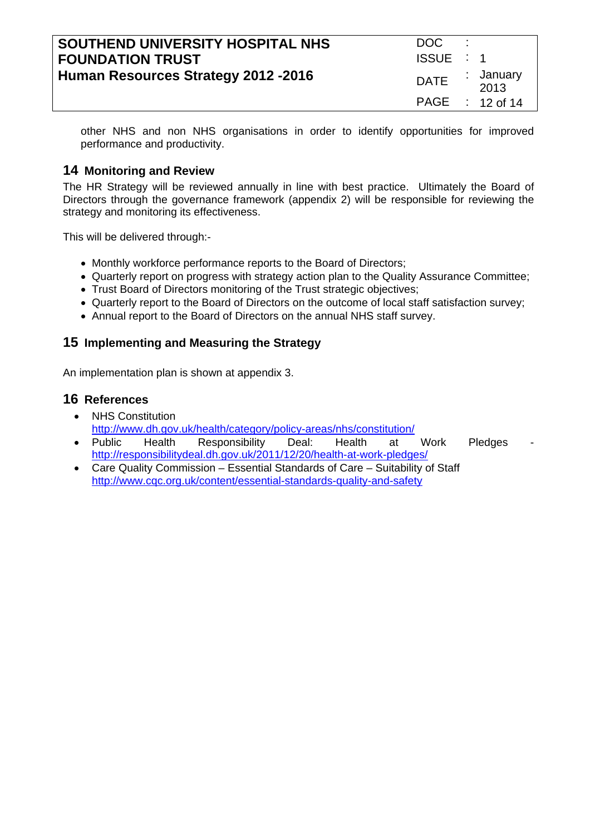| SOUTHEND UNIVERSITY HOSPITAL NHS     | DOC.        |                   |
|--------------------------------------|-------------|-------------------|
| <b>FOUNDATION TRUST</b>              | ISSUE : 1   |                   |
| Human Resources Strategy 2012 - 2016 | <b>DATE</b> | : January<br>2013 |
|                                      |             | PAGE : 12 of 14   |

other NHS and non NHS organisations in order to identify opportunities for improved performance and productivity.

#### **14 Monitoring and Review**

The HR Strategy will be reviewed annually in line with best practice. Ultimately the Board of Directors through the governance framework (appendix 2) will be responsible for reviewing the strategy and monitoring its effectiveness.

This will be delivered through:-

- Monthly workforce performance reports to the Board of Directors;
- Quarterly report on progress with strategy action plan to the Quality Assurance Committee;
- Trust Board of Directors monitoring of the Trust strategic objectives:
- Quarterly report to the Board of Directors on the outcome of local staff satisfaction survey;
- Annual report to the Board of Directors on the annual NHS staff survey.

# **15 Implementing and Measuring the Strategy**

An implementation plan is shown at appendix 3.

#### **16 References**

- NHS Constitution http://www.dh.gov.uk/health/category/policy-areas/nhs/constitution/
- Public Health Responsibility Deal: Health at Work Pledges http://responsibilitydeal.dh.gov.uk/2011/12/20/health-at-work-pledges/
- Care Quality Commission Essential Standards of Care Suitability of Staff http://www.cqc.org.uk/content/essential-standards-quality-and-safety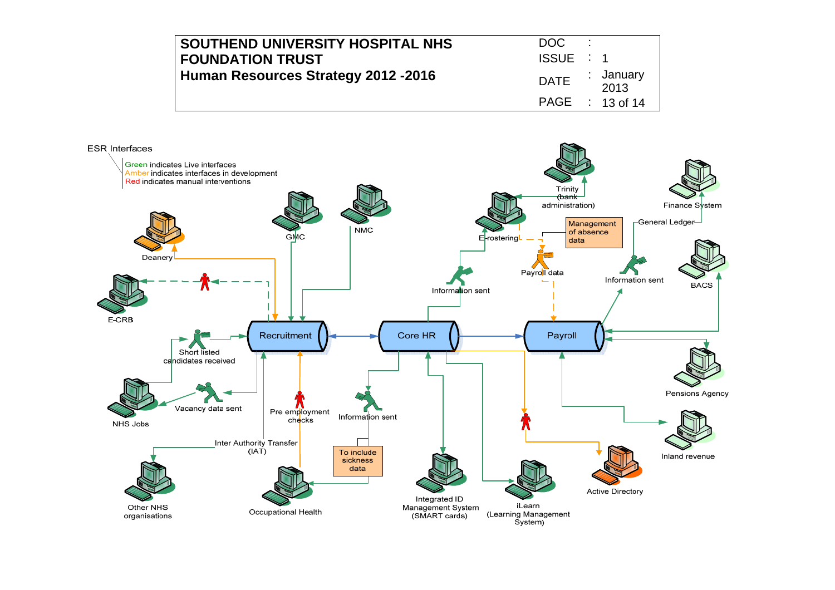| SOUTHEND UNIVERSITY HOSPITAL NHS     | DOC.        |                   |
|--------------------------------------|-------------|-------------------|
| <b>FOUNDATION TRUST</b>              | ISSUE : 1   |                   |
| Human Resources Strategy 2012 - 2016 | <b>DATE</b> | : January<br>2013 |
|                                      |             | PAGE : 13 of 14   |